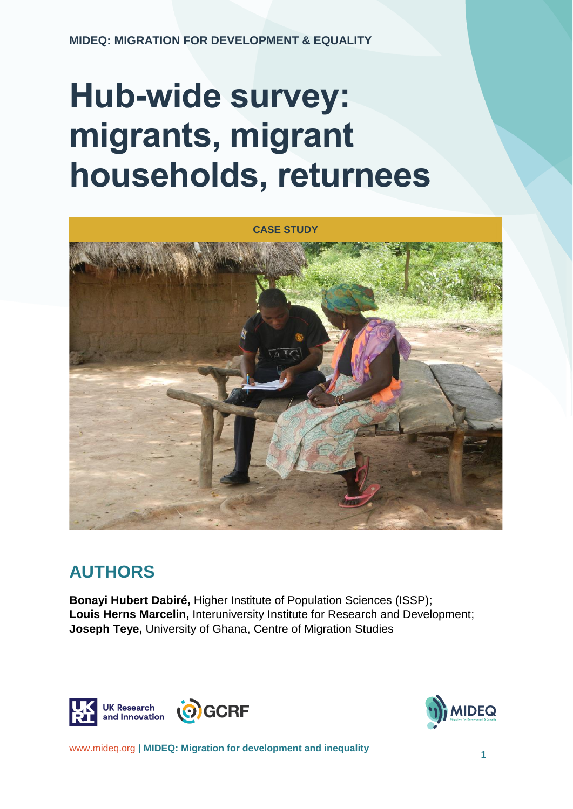# **Hub-wide survey: migrants, migrant households, returnees**



## **AUTHORS**

**Bonayi Hubert Dabiré,** Higher Institute of Population Sciences (ISSP); **Louis Herns Marcelin,** Interuniversity Institute for Research and Development; **Joseph Teye,** University of Ghana, Centre of Migration Studies





[www.mideq.org](http://www.mideq.org/) **| MIDEQ: Migration for development and inequality <sup>1</sup>**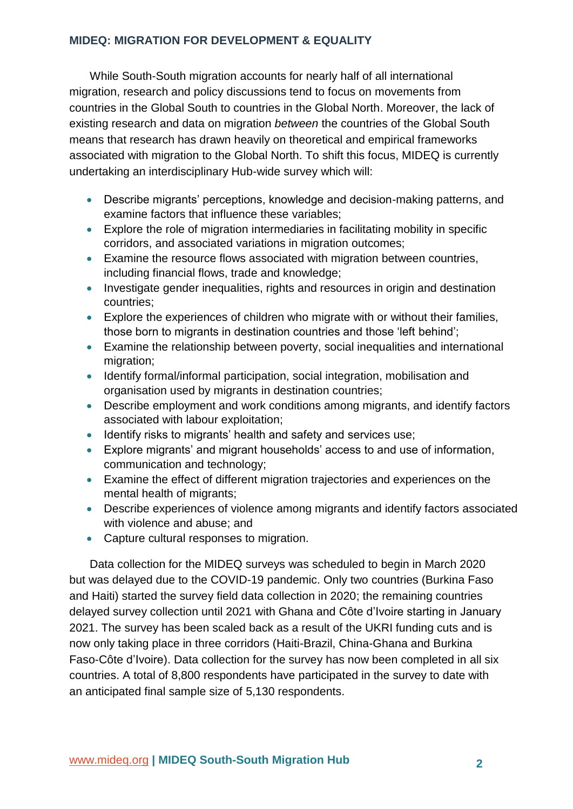While South-South migration accounts for nearly half of all international migration, research and policy discussions tend to focus on movements from countries in the Global South to countries in the Global North. Moreover, the lack of existing research and data on migration *between* the countries of the Global South means that research has drawn heavily on theoretical and empirical frameworks associated with migration to the Global North. To shift this focus, MIDEQ is currently undertaking an interdisciplinary Hub-wide survey which will:

- Describe migrants' perceptions, knowledge and decision-making patterns, and examine factors that influence these variables;
- Explore the role of migration intermediaries in facilitating mobility in specific corridors, and associated variations in migration outcomes;
- Examine the resource flows associated with migration between countries, including financial flows, trade and knowledge;
- Investigate gender inequalities, rights and resources in origin and destination countries;
- Explore the experiences of children who migrate with or without their families, those born to migrants in destination countries and those 'left behind';
- Examine the relationship between poverty, social inequalities and international migration;
- Identify formal/informal participation, social integration, mobilisation and organisation used by migrants in destination countries;
- Describe employment and work conditions among migrants, and identify factors associated with labour exploitation;
- Identify risks to migrants' health and safety and services use;
- Explore migrants' and migrant households' access to and use of information, communication and technology;
- Examine the effect of different migration trajectories and experiences on the mental health of migrants;
- Describe experiences of violence among migrants and identify factors associated with violence and abuse; and
- Capture cultural responses to migration.

Data collection for the MIDEQ surveys was scheduled to begin in March 2020 but was delayed due to the COVID-19 pandemic. Only two countries (Burkina Faso and Haiti) started the survey field data collection in 2020; the remaining countries delayed survey collection until 2021 with Ghana and Côte d'Ivoire starting in January 2021. The survey has been scaled back as a result of the UKRI funding cuts and is now only taking place in three corridors (Haiti-Brazil, China-Ghana and Burkina Faso-Côte d'Ivoire). Data collection for the survey has now been completed in all six countries. A total of 8,800 respondents have participated in the survey to date with an anticipated final sample size of 5,130 respondents.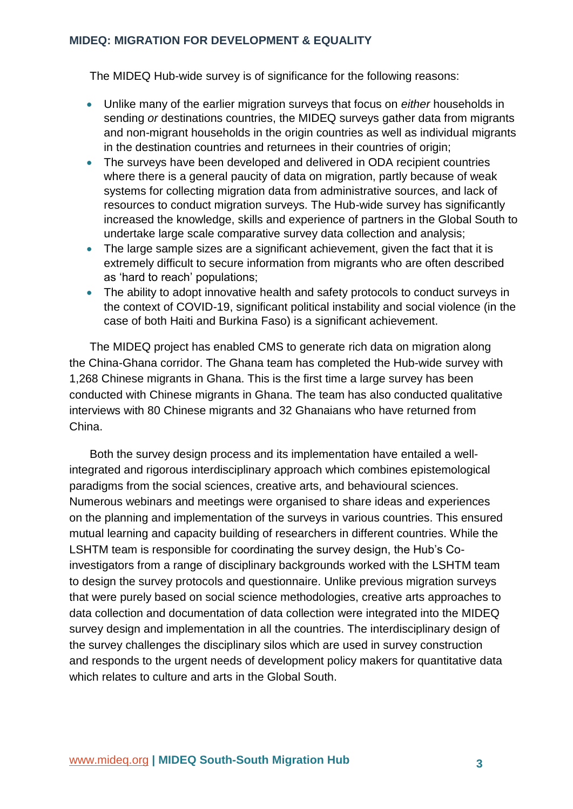The MIDEQ Hub-wide survey is of significance for the following reasons:

- Unlike many of the earlier migration surveys that focus on *either* households in sending *or* destinations countries, the MIDEQ surveys gather data from migrants and non-migrant households in the origin countries as well as individual migrants in the destination countries and returnees in their countries of origin;
- The surveys have been developed and delivered in ODA recipient countries where there is a general paucity of data on migration, partly because of weak systems for collecting migration data from administrative sources, and lack of resources to conduct migration surveys. The Hub-wide survey has significantly increased the knowledge, skills and experience of partners in the Global South to undertake large scale comparative survey data collection and analysis;
- The large sample sizes are a significant achievement, given the fact that it is extremely difficult to secure information from migrants who are often described as 'hard to reach' populations;
- The ability to adopt innovative health and safety protocols to conduct surveys in the context of COVID-19, significant political instability and social violence (in the case of both Haiti and Burkina Faso) is a significant achievement.

The MIDEQ project has enabled CMS to generate rich data on migration along the China-Ghana corridor. The Ghana team has completed the Hub-wide survey with 1,268 Chinese migrants in Ghana. This is the first time a large survey has been conducted with Chinese migrants in Ghana. The team has also conducted qualitative interviews with 80 Chinese migrants and 32 Ghanaians who have returned from China.

Both the survey design process and its implementation have entailed a wellintegrated and rigorous interdisciplinary approach which combines epistemological paradigms from the social sciences, creative arts, and behavioural sciences. Numerous webinars and meetings were organised to share ideas and experiences on the planning and implementation of the surveys in various countries. This ensured mutual learning and capacity building of researchers in different countries. While the LSHTM team is responsible for coordinating the survey design, the Hub's Coinvestigators from a range of disciplinary backgrounds worked with the LSHTM team to design the survey protocols and questionnaire. Unlike previous migration surveys that were purely based on social science methodologies, creative arts approaches to data collection and documentation of data collection were integrated into the MIDEQ survey design and implementation in all the countries. The interdisciplinary design of the survey challenges the disciplinary silos which are used in survey construction and responds to the urgent needs of development policy makers for quantitative data which relates to culture and arts in the Global South.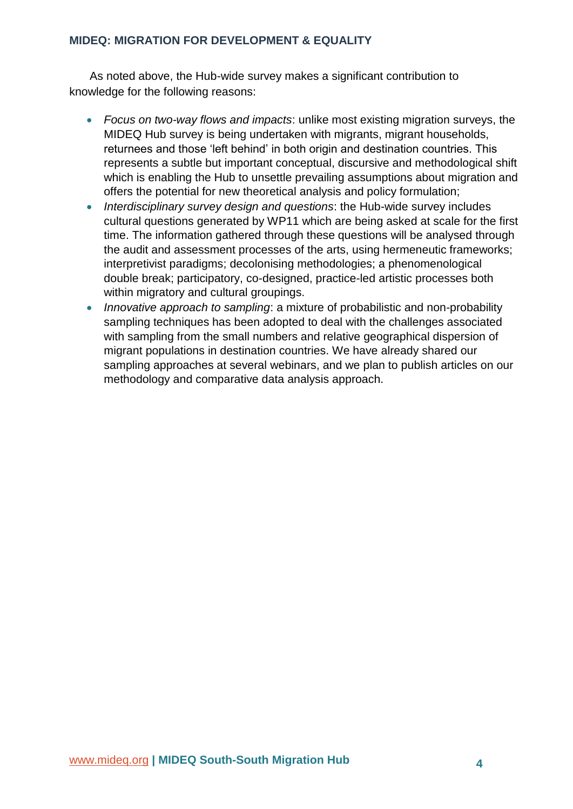As noted above, the Hub-wide survey makes a significant contribution to knowledge for the following reasons:

- *Focus on two-way flows and impacts*: unlike most existing migration surveys, the MIDEQ Hub survey is being undertaken with migrants, migrant households, returnees and those 'left behind' in both origin and destination countries. This represents a subtle but important conceptual, discursive and methodological shift which is enabling the Hub to unsettle prevailing assumptions about migration and offers the potential for new theoretical analysis and policy formulation;
- *Interdisciplinary survey design and questions*: the Hub-wide survey includes cultural questions generated by WP11 which are being asked at scale for the first time. The information gathered through these questions will be analysed through the audit and assessment processes of the arts, using hermeneutic frameworks; interpretivist paradigms; decolonising methodologies; a phenomenological double break; participatory, co-designed, practice-led artistic processes both within migratory and cultural groupings.
- *Innovative approach to sampling*: a mixture of probabilistic and non-probability sampling techniques has been adopted to deal with the challenges associated with sampling from the small numbers and relative geographical dispersion of migrant populations in destination countries. We have already shared our sampling approaches at several webinars, and we plan to publish articles on our methodology and comparative data analysis approach.